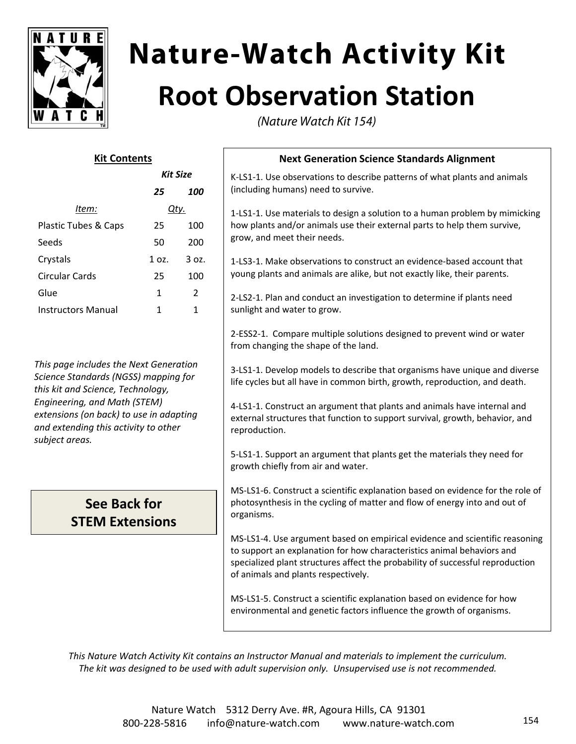

# **Nature-Watch Activity Kit Root Observation Station**

(Nature Watch Kit 154)

## **Kit Contents**

|                      | <b>Kit Size</b> |       |
|----------------------|-----------------|-------|
|                      | 25              | 100   |
| ltem:                | Qtv.            |       |
| Plastic Tubes & Caps | 25              | 100   |
| Seeds                | 50              | 200   |
| Crystals             | 1 oz.           | 3 oz. |
| Circular Cards       | 25              | 100   |
| Glue                 | 1               | 2     |
| Instructors Manual   | 1               | 1     |

*This page includes the Next Generation Science Standards (NGSS) mapping for this kit and Science, Technology, Engineering, and Math (STEM) extensions (on back) to use in adapting and extending this activity to other subject areas.*

# **See Back for STEM Extensions**

## **Next Generation Science Standards Alignment**

K‐LS1‐1. Use observations to describe patterns of what plants and animals (including humans) need to survive.

1‐LS1‐1. Use materials to design a solution to a human problem by mimicking how plants and/or animals use their external parts to help them survive, grow, and meet their needs.

1‐LS3‐1. Make observations to construct an evidence‐based account that young plants and animals are alike, but not exactly like, their parents.

2‐LS2‐1. Plan and conduct an investigation to determine if plants need sunlight and water to grow.

2‐ESS2‐1. Compare multiple solutions designed to prevent wind or water from changing the shape of the land.

3‐LS1‐1. Develop models to describe that organisms have unique and diverse life cycles but all have in common birth, growth, reproduction, and death.

4‐LS1‐1. Construct an argument that plants and animals have internal and external structures that function to support survival, growth, behavior, and reproduction.

5‐LS1‐1. Support an argument that plants get the materials they need for growth chiefly from air and water.

MS‐LS1‐6. Construct a scientific explanation based on evidence for the role of photosynthesis in the cycling of matter and flow of energy into and out of organisms.

MS‐LS1‐4. Use argument based on empirical evidence and scientific reasoning to support an explanation for how characteristics animal behaviors and specialized plant structures affect the probability of successful reproduction of animals and plants respectively.

MS‐LS1‐5. Construct a scientific explanation based on evidence for how environmental and genetic factors influence the growth of organisms.

*This Nature Watch Activity Kit contains an Instructor Manual and materials to implement the curriculum. The kit was designed to be used with adult supervision only. Unsupervised use is not recommended.*